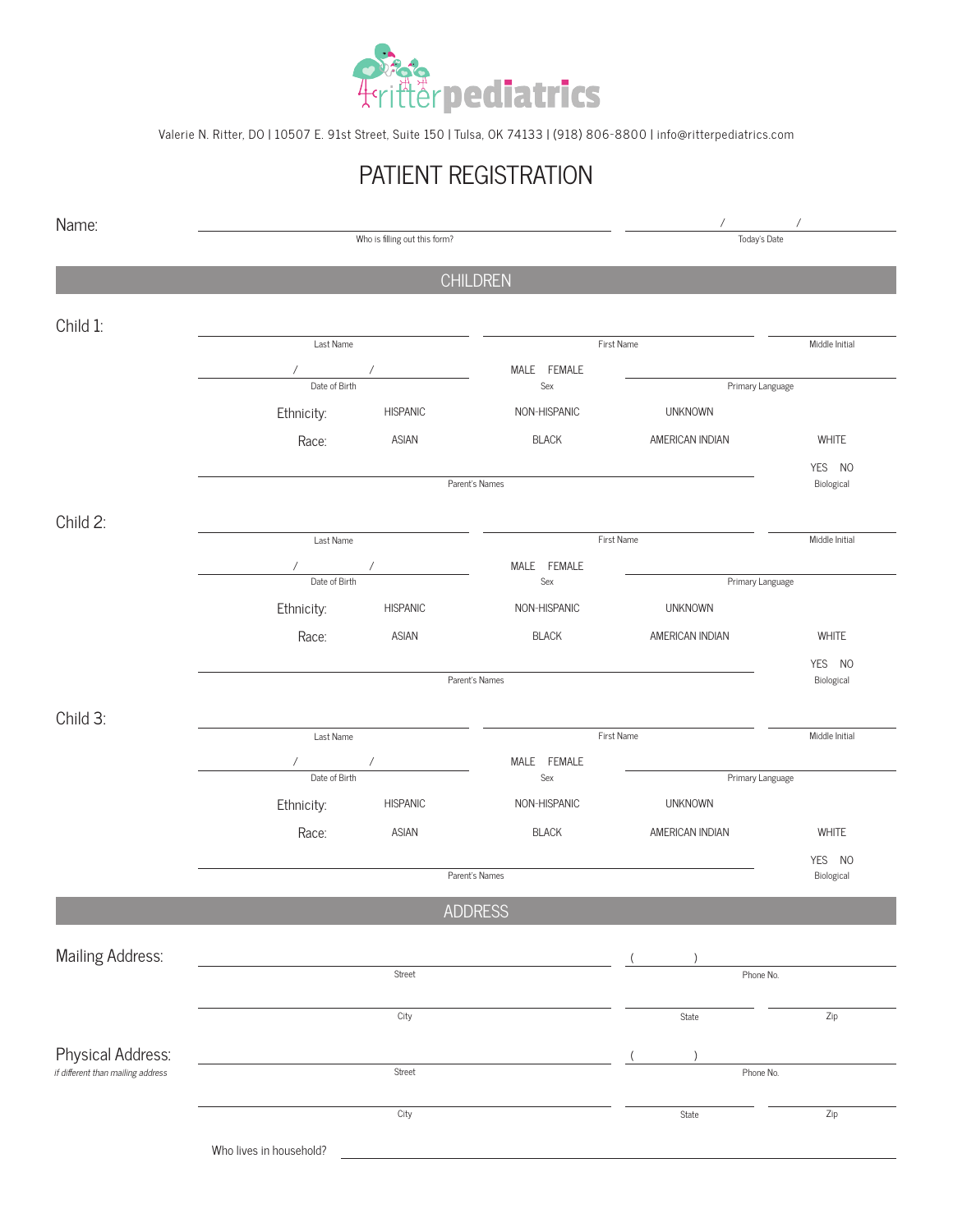

Valerie N. Ritter, DO | 10507 E. 91st Street, Suite 150 | Tulsa, OK 74133 | (918) 806-8800 | info@ritterpediatrics.com

# PATIENT REGISTRATION

| Who is filling out this form?<br>Today's Date<br><b>CHILDREN</b><br>Child 1:<br>Last Name<br>First Name<br>MALE FEMALE<br>$\sqrt{2}$<br>$\sqrt{2}$<br>Date of Birth<br>Sex<br>Primary Language<br>Ethnicity:<br><b>HISPANIC</b><br>NON-HISPANIC<br><b>UNKNOWN</b><br>ASIAN<br><b>BLACK</b><br>AMERICAN INDIAN<br>Race:<br>Parent's Names<br>Child 2:<br>Last Name<br>First Name<br>MALE FEMALE<br>$\sqrt{2}$<br>$\sqrt{2}$<br>Date of Birth |                      |  |
|---------------------------------------------------------------------------------------------------------------------------------------------------------------------------------------------------------------------------------------------------------------------------------------------------------------------------------------------------------------------------------------------------------------------------------------------|----------------------|--|
|                                                                                                                                                                                                                                                                                                                                                                                                                                             |                      |  |
|                                                                                                                                                                                                                                                                                                                                                                                                                                             |                      |  |
|                                                                                                                                                                                                                                                                                                                                                                                                                                             |                      |  |
|                                                                                                                                                                                                                                                                                                                                                                                                                                             | Middle Initial       |  |
|                                                                                                                                                                                                                                                                                                                                                                                                                                             |                      |  |
|                                                                                                                                                                                                                                                                                                                                                                                                                                             |                      |  |
|                                                                                                                                                                                                                                                                                                                                                                                                                                             |                      |  |
|                                                                                                                                                                                                                                                                                                                                                                                                                                             | WHITE                |  |
|                                                                                                                                                                                                                                                                                                                                                                                                                                             | YES NO               |  |
|                                                                                                                                                                                                                                                                                                                                                                                                                                             | Biological           |  |
|                                                                                                                                                                                                                                                                                                                                                                                                                                             |                      |  |
|                                                                                                                                                                                                                                                                                                                                                                                                                                             | Middle Initial       |  |
|                                                                                                                                                                                                                                                                                                                                                                                                                                             |                      |  |
| Sex                                                                                                                                                                                                                                                                                                                                                                                                                                         | Primary Language     |  |
| Ethnicity:<br><b>HISPANIC</b><br>NON-HISPANIC<br><b>UNKNOWN</b>                                                                                                                                                                                                                                                                                                                                                                             |                      |  |
| Race:<br>ASIAN<br><b>BLACK</b><br>AMERICAN INDIAN                                                                                                                                                                                                                                                                                                                                                                                           | WHITE                |  |
| Parent's Names                                                                                                                                                                                                                                                                                                                                                                                                                              | YES NO<br>Biological |  |
| Child 3:                                                                                                                                                                                                                                                                                                                                                                                                                                    |                      |  |
| First Name<br>Last Name                                                                                                                                                                                                                                                                                                                                                                                                                     | Middle Initial       |  |
| MALE FEMALE<br>$\sqrt{2}$<br>$\sqrt{2}$                                                                                                                                                                                                                                                                                                                                                                                                     |                      |  |
| Date of Birth<br>$\operatorname{\mathsf{Sex}}$<br>Primary Language                                                                                                                                                                                                                                                                                                                                                                          |                      |  |
| Ethnicity:<br><b>HISPANIC</b><br>NON-HISPANIC<br><b>UNKNOWN</b>                                                                                                                                                                                                                                                                                                                                                                             |                      |  |
| ASIAN<br>Race:<br><b>BLACK</b><br>AMERICAN INDIAN                                                                                                                                                                                                                                                                                                                                                                                           | WHITE                |  |
| Parent's Names                                                                                                                                                                                                                                                                                                                                                                                                                              | YES NO<br>Biological |  |
| <b>ADDRESS</b>                                                                                                                                                                                                                                                                                                                                                                                                                              |                      |  |
|                                                                                                                                                                                                                                                                                                                                                                                                                                             |                      |  |
| Mailing Address:                                                                                                                                                                                                                                                                                                                                                                                                                            |                      |  |
| Street<br>Phone No.                                                                                                                                                                                                                                                                                                                                                                                                                         |                      |  |
| City<br>State                                                                                                                                                                                                                                                                                                                                                                                                                               | Zip                  |  |
| Physical Address:                                                                                                                                                                                                                                                                                                                                                                                                                           |                      |  |
| if different than mailing address<br>Street<br>Phone No.                                                                                                                                                                                                                                                                                                                                                                                    |                      |  |
| City<br>State                                                                                                                                                                                                                                                                                                                                                                                                                               | Zip                  |  |
| Who lives in household?                                                                                                                                                                                                                                                                                                                                                                                                                     |                      |  |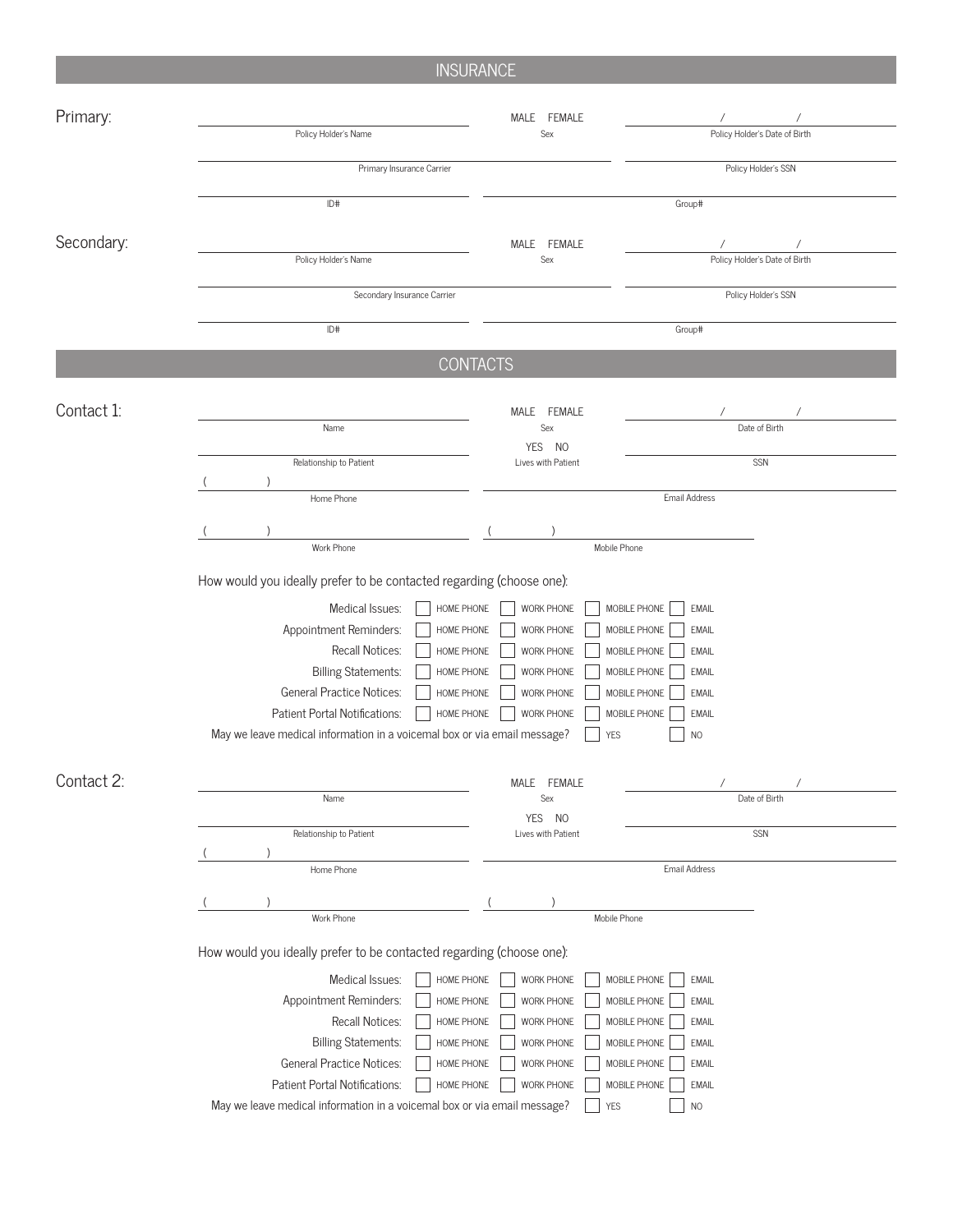# **INSURANCE**

| Primary:   |                                                                                                                                                                                                                                                                                                                                 | MALE FEMALE                                                                                                  |                                                                                                                                                                                                           |  |  |  |
|------------|---------------------------------------------------------------------------------------------------------------------------------------------------------------------------------------------------------------------------------------------------------------------------------------------------------------------------------|--------------------------------------------------------------------------------------------------------------|-----------------------------------------------------------------------------------------------------------------------------------------------------------------------------------------------------------|--|--|--|
|            | Policy Holder's Name                                                                                                                                                                                                                                                                                                            | Sex                                                                                                          | Policy Holder's Date of Birth                                                                                                                                                                             |  |  |  |
|            | Primary Insurance Carrier                                                                                                                                                                                                                                                                                                       |                                                                                                              | Policy Holder's SSN                                                                                                                                                                                       |  |  |  |
|            | ID#                                                                                                                                                                                                                                                                                                                             |                                                                                                              | Group#                                                                                                                                                                                                    |  |  |  |
|            |                                                                                                                                                                                                                                                                                                                                 |                                                                                                              |                                                                                                                                                                                                           |  |  |  |
| Secondary: | Policy Holder's Name                                                                                                                                                                                                                                                                                                            | MALE FEMALE<br>Sex                                                                                           | Policy Holder's Date of Birth                                                                                                                                                                             |  |  |  |
|            | Secondary Insurance Carrier                                                                                                                                                                                                                                                                                                     | Policy Holder's SSN                                                                                          |                                                                                                                                                                                                           |  |  |  |
|            |                                                                                                                                                                                                                                                                                                                                 |                                                                                                              |                                                                                                                                                                                                           |  |  |  |
|            | ID#                                                                                                                                                                                                                                                                                                                             |                                                                                                              | Group#                                                                                                                                                                                                    |  |  |  |
|            | <b>CONTACTS</b>                                                                                                                                                                                                                                                                                                                 |                                                                                                              |                                                                                                                                                                                                           |  |  |  |
| Contact 1: |                                                                                                                                                                                                                                                                                                                                 | MALE FEMALE                                                                                                  |                                                                                                                                                                                                           |  |  |  |
|            | Name                                                                                                                                                                                                                                                                                                                            | Sex<br><b>YES</b><br>N <sub>0</sub>                                                                          | Date of Birth                                                                                                                                                                                             |  |  |  |
|            | Relationship to Patient                                                                                                                                                                                                                                                                                                         | Lives with Patient                                                                                           | SSN                                                                                                                                                                                                       |  |  |  |
|            | Home Phone                                                                                                                                                                                                                                                                                                                      |                                                                                                              | Email Address                                                                                                                                                                                             |  |  |  |
|            |                                                                                                                                                                                                                                                                                                                                 |                                                                                                              |                                                                                                                                                                                                           |  |  |  |
|            | Work Phone                                                                                                                                                                                                                                                                                                                      | Mobile Phone                                                                                                 |                                                                                                                                                                                                           |  |  |  |
|            | Medical Issues:<br>HOME PHONE<br>Appointment Reminders:<br>HOME PHONE<br>Recall Notices:<br>HOME PHONE<br><b>Billing Statements:</b><br>HOME PHONE<br><b>General Practice Notices:</b><br>HOME PHONE<br>Patient Portal Notifications:<br>HOME PHONE<br>May we leave medical information in a voicemal box or via email message? | <b>WORK PHONE</b><br>WORK PHONE<br>WORK PHONE<br>WORK PHONE<br>WORK PHONE<br><b>WORK PHONE</b><br><b>YES</b> | MOBILE PHONE<br><b>EMAIL</b><br>MOBILE PHONE<br><b>EMAIL</b><br>MOBILE PHONE<br><b>EMAIL</b><br>MOBILE PHONE<br><b>EMAIL</b><br>MOBILE PHONE<br><b>EMAIL</b><br>MOBILE PHONE<br><b>EMAIL</b><br><b>NO</b> |  |  |  |
| Contact 2: |                                                                                                                                                                                                                                                                                                                                 | MALE FEMALE                                                                                                  | $\prime$                                                                                                                                                                                                  |  |  |  |
|            | Name                                                                                                                                                                                                                                                                                                                            | Sex<br><b>YES</b><br>N <sub>O</sub>                                                                          | Date of Birth                                                                                                                                                                                             |  |  |  |
|            | Relationship to Patient                                                                                                                                                                                                                                                                                                         | Lives with Patient                                                                                           | SSN                                                                                                                                                                                                       |  |  |  |
|            | Home Phone                                                                                                                                                                                                                                                                                                                      |                                                                                                              | Email Address                                                                                                                                                                                             |  |  |  |
|            |                                                                                                                                                                                                                                                                                                                                 |                                                                                                              |                                                                                                                                                                                                           |  |  |  |
|            | Work Phone                                                                                                                                                                                                                                                                                                                      | Mobile Phone                                                                                                 |                                                                                                                                                                                                           |  |  |  |
|            | How would you ideally prefer to be contacted regarding (choose one):                                                                                                                                                                                                                                                            |                                                                                                              |                                                                                                                                                                                                           |  |  |  |
|            | Medical Issues:<br>HOME PHONE                                                                                                                                                                                                                                                                                                   | WORK PHONE                                                                                                   | MOBILE PHONE<br><b>EMAIL</b>                                                                                                                                                                              |  |  |  |
|            | Appointment Reminders:<br>HOME PHONE                                                                                                                                                                                                                                                                                            | WORK PHONE                                                                                                   | MOBILE PHONE<br>EMAIL                                                                                                                                                                                     |  |  |  |
|            | Recall Notices:<br>HOME PHONE                                                                                                                                                                                                                                                                                                   | WORK PHONE                                                                                                   | MOBILE PHONE<br>EMAIL                                                                                                                                                                                     |  |  |  |
|            | <b>Billing Statements:</b><br>HOME PHONE                                                                                                                                                                                                                                                                                        | WORK PHONE                                                                                                   | MOBILE PHONE<br><b>EMAIL</b>                                                                                                                                                                              |  |  |  |
|            | <b>General Practice Notices:</b><br>HOME PHONE                                                                                                                                                                                                                                                                                  | WORK PHONE                                                                                                   | MOBILE PHONE<br>EMAIL                                                                                                                                                                                     |  |  |  |
|            | Patient Portal Notifications:<br>HOME PHONE                                                                                                                                                                                                                                                                                     | WORK PHONE                                                                                                   | MOBILE PHONE<br><b>EMAIL</b>                                                                                                                                                                              |  |  |  |
|            | May we leave medical information in a voicemal box or via email message?                                                                                                                                                                                                                                                        | <b>YES</b>                                                                                                   | N <sub>O</sub>                                                                                                                                                                                            |  |  |  |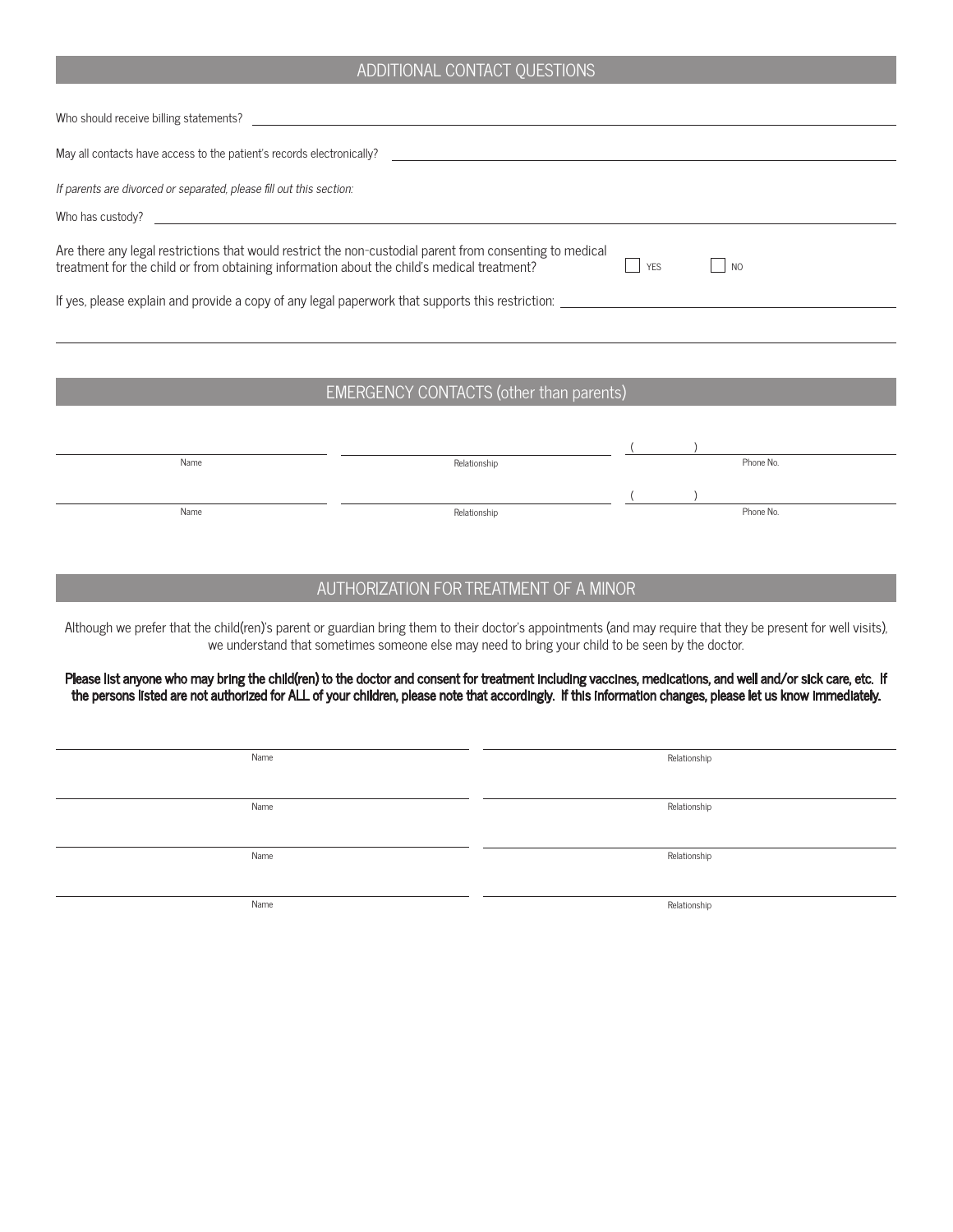#### ADDITIONAL CONTACT QUESTIONS

| Who should receive billing statements?                                                                                                                                                                           |
|------------------------------------------------------------------------------------------------------------------------------------------------------------------------------------------------------------------|
| May all contacts have access to the patient's records electronically?<br><u> 1980 - John Stein, Amerikaansk politiker (* 1900)</u>                                                                               |
| If parents are divorced or separated, please fill out this section:                                                                                                                                              |
| Who has custody?                                                                                                                                                                                                 |
| Are there any legal restrictions that would restrict the non-custodial parent from consenting to medical<br>treatment for the child or from obtaining information about the child's medical treatment?<br>$ $ NO |
| If yes, please explain and provide a copy of any legal paperwork that supports this restriction:                                                                                                                 |
|                                                                                                                                                                                                                  |
|                                                                                                                                                                                                                  |

## EMERGENCY CONTACTS (other than parents)

| Name | Relationship |  | Phone No. |
|------|--------------|--|-----------|
|      |              |  |           |
|      |              |  |           |
|      |              |  |           |
| Name | Relationship |  | Phone No. |
|      |              |  |           |

## AUTHORIZATION FOR TREATMENT OF A MINOR

Although we prefer that the child(ren)'s parent or guardian bring them to their doctor's appointments (and may require that they be present for well visits), we understand that sometimes someone else may need to bring your child to be seen by the doctor.

Please list anyone who may bring the child(ren) to the doctor and consent for treatment including vaccines, medications, and well and/or sick care, etc. If the persons listed are not authorized for ALL of your children, please note that accordingly. If this information changes, please let us know immediately.

| Name | Relationship |
|------|--------------|
|      |              |
| Name | Relationship |
|      |              |
| Name | Relationship |
|      |              |

Name Relationship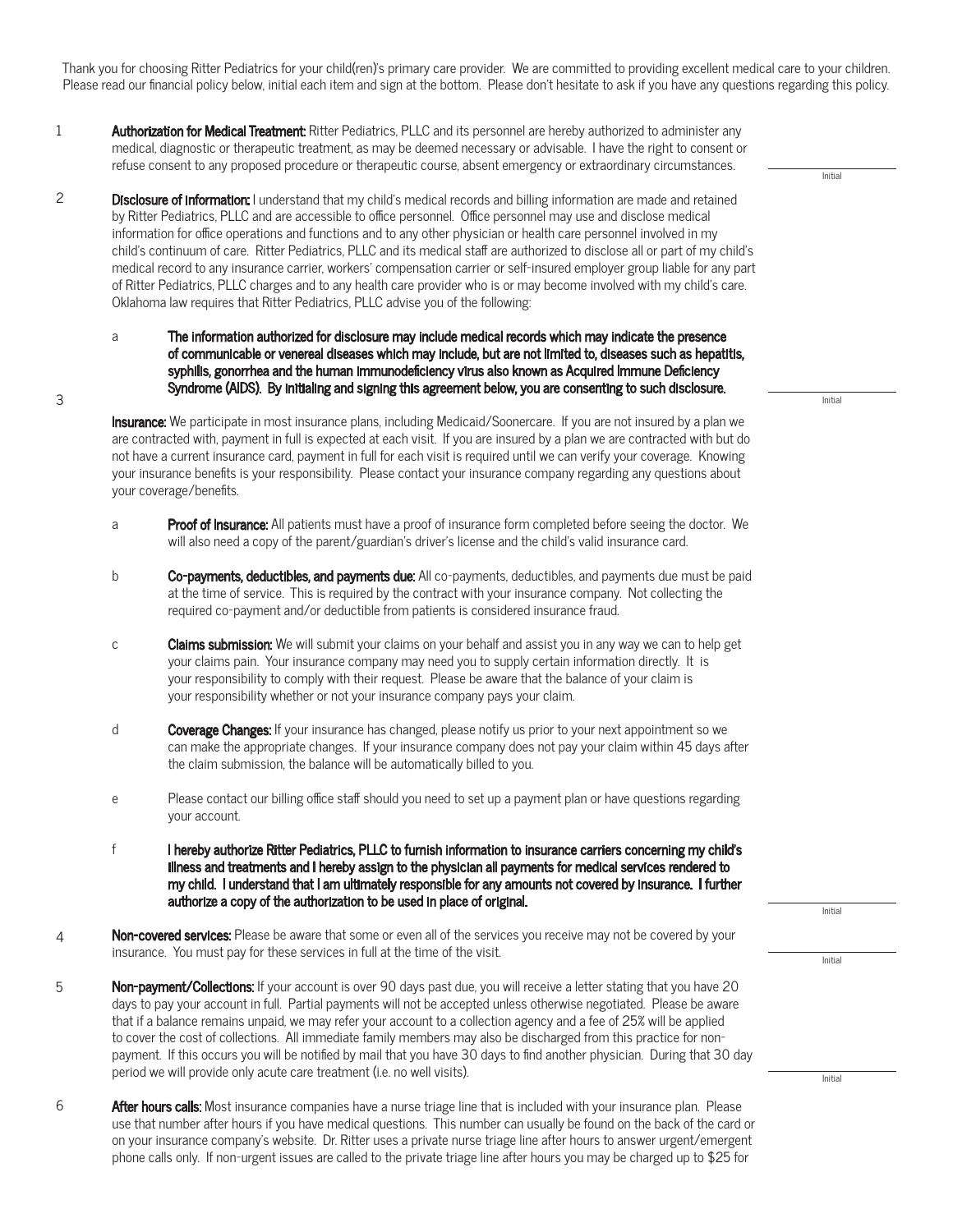Thank you for choosing Ritter Pediatrics for your child(ren)'s primary care provider. We are committed to providing excellent medical care to your children. Please read our financial policy below, initial each item and sign at the bottom. Please don't hesitate to ask if you have any questions regarding this policy.

- Authorization for Medical Treatment: Ritter Pediatrics, PLLC and its personnel are hereby authorized to administer any medical, diagnostic or therapeutic treatment, as may be deemed necessary or advisable. I have the right to consent or refuse consent to any proposed procedure or therapeutic course, absent emergency or extraordinary circumstances. 1
- Disclosure of information: I understand that my child's medical records and billing information are made and retained by Ritter Pediatrics, PLLC and are accessible to office personnel. Office personnel may use and disclose medical information for office operations and functions and to any other physician or health care personnel involved in my child's continuum of care. Ritter Pediatrics, PLLC and its medical staff are authorized to disclose all or part of my child's medical record to any insurance carrier, workers' compensation carrier or self-insured employer group liable for any part of Ritter Pediatrics, PLLC charges and to any health care provider who is or may become involved with my child's care. Oklahoma law requires that Ritter Pediatrics, PLLC advise you of the following: 2
	- a The information authorized for disclosure may include medical records which may indicate the presence of communicable or venereal diseases which may include, but are not limited to, diseases such as hepatitis, syphilis, gonorrhea and the human immunodeficiency virus also known as Acquired Immune Deficiency Syndrome (AIDS). By initialing and signing this agreement below, you are consenting to such disclosure.

3

Initial

Initial

Insurance: We participate in most insurance plans, including Medicaid/Soonercare. If you are not insured by a plan we are contracted with, payment in full is expected at each visit. If you are insured by a plan we are contracted with but do not have a current insurance card, payment in full for each visit is required until we can verify your coverage. Knowing your insurance benefits is your responsibility. Please contact your insurance company regarding any questions about your coverage/benefits.

- a **Proof of Insurance:** All patients must have a proof of insurance form completed before seeing the doctor. We will also need a copy of the parent/guardian's driver's license and the child's valid insurance card.
- b Co-payments, deductibles, and payments due: All co-payments, deductibles, and payments due must be paid at the time of service. This is required by the contract with your insurance company. Not collecting the required co-payment and/or deductible from patients is considered insurance fraud.
- c **Claims submission:** We will submit your claims on your behalf and assist you in any way we can to help get your claims pain. Your insurance company may need you to supply certain information directly. It is your responsibility to comply with their request. Please be aware that the balance of your claim is your responsibility whether or not your insurance company pays your claim.
- d Coverage Changes: If your insurance has changed, please notify us prior to your next appointment so we can make the appropriate changes. If your insurance company does not pay your claim within 45 days after the claim submission, the balance will be automatically billed to you.
- e Please contact our billing office staff should you need to set up a payment plan or have questions regarding your account.
- f I hereby authorize Ritter Pediatrics, PLLC to furnish information to insurance carriers concerning my child's illness and treatments and I hereby assign to the physician all payments for medical services rendered to my child. I understand that I am ultimately responsible for any amounts not covered by insurance. I further authorize a copy of the authorization to be used in place of original.
- Non-covered services: Please be aware that some or even all of the services you receive may not be covered by your insurance. You must pay for these services in full at the time of the visit. 4
- Non-payment/Collections: If your account is over 90 days past due, you will receive a letter stating that you have 20 days to pay your account in full. Partial payments will not be accepted unless otherwise negotiated. Please be aware that if a balance remains unpaid, we may refer your account to a collection agency and a fee of 25% will be applied to cover the cost of collections. All immediate family members may also be discharged from this practice for nonpayment. If this occurs you will be notified by mail that you have 30 days to find another physician. During that 30 day period we will provide only acute care treatment (i.e. no well visits). 5
- After hours calls: Most insurance companies have a nurse triage line that is included with your insurance plan. Please use that number after hours if you have medical questions. This number can usually be found on the back of the card or on your insurance company's website. Dr. Ritter uses a private nurse triage line after hours to answer urgent/emergent phone calls only. If non-urgent issues are called to the private triage line after hours you may be charged up to \$25 for 6

Initial

Initial

Initial